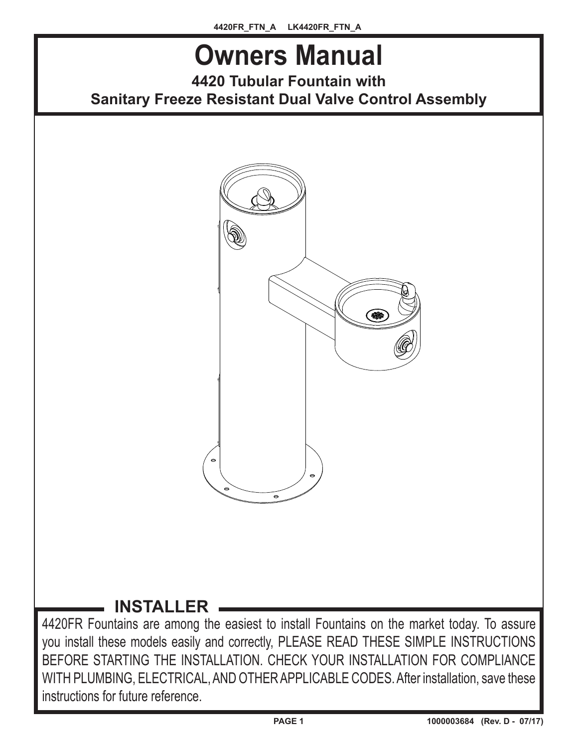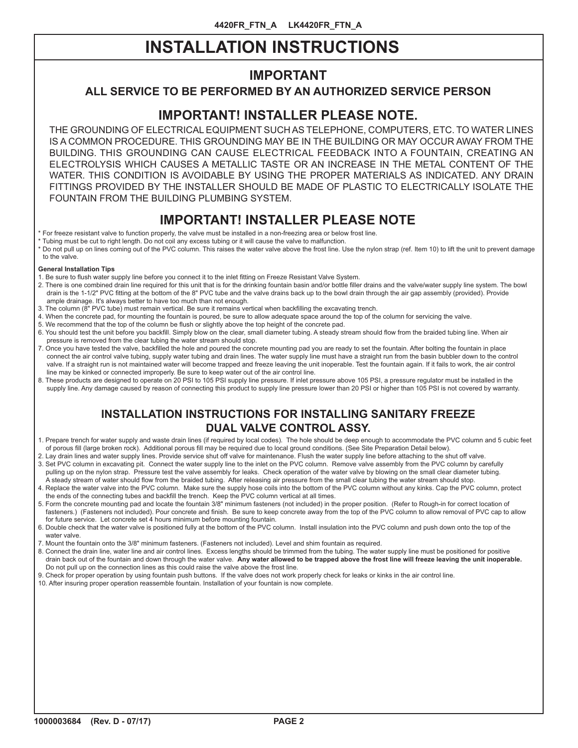# **INSTALLATION INSTRUCTIONS**

# **IMPORTANT**

**ALL SERVICE TO BE PERFORMED BY AN AUTHORIZED SERVICE PERSON**

# **IMPORTANT! INSTALLER PLEASE NOTE.**

THE GROUNDING OF ELECTRICAL EQUIPMENT SUCH AS TELEPHONE, COMPUTERS, ETC. TO WATER LINES IS A COMMON PROCEDURE. THIS GROUNDING MAY BE IN THE BUILDING OR MAY OCCUR AWAY FROM THE BUILDING. THIS GROUNDING CAN CAUSE ELECTRICAL FEEDBACK INTO A FOUNTAIN, CREATING AN ELECTROLYSIS WHICH CAUSES A METALLIC TASTE OR AN INCREASE IN THE METAL CONTENT OF THE WATER. THIS CONDITION IS AVOIDABLE BY USING THE PROPER MATERIALS AS INDICATED. ANY DRAIN FITTINGS PROVIDED BY THE INSTALLER SHOULD BE MADE OF PLASTIC TO ELECTRICALLY ISOLATE THE FOUNTAIN FROM THE BUILDING PLUMBING SYSTEM.

# **IMPORTANT! INSTALLER PLEASE NOTE**

\* For freeze resistant valve to function properly, the valve must be installed in a non-freezing area or below frost line.

\* Tubing must be cut to right length. Do not coil any excess tubing or it will cause the valve to malfunction.

\* Do not pull up on lines coming out of the PVC column. This raises the water valve above the frost line. Use the nylon strap (ref. Item 10) to lift the unit to prevent damage to the valve.

#### **General Installation Tips**

- 1. Be sure to flush water supply line before you connect it to the inlet fitting on Freeze Resistant Valve System.
- 2. There is one combined drain line required for this unit that is for the drinking fountain basin and/or bottle filler drains and the valve/water supply line system. The bowl drain is the 1-1/2" PVC fitting at the bottom of the 8" PVC tube and the valve drains back up to the bowl drain through the air gap assembly (provided). Provide ample drainage. It's always better to have too much than not enough.
- 3. The column (8" PVC tube) must remain vertical. Be sure it remains vertical when backfilling the excavating trench.
- 4. When the concrete pad, for mounting the fountain is poured, be sure to allow adequate space around the top of the column for servicing the valve.
- 5. We recommend that the top of the column be flush or slightly above the top height of the concrete pad.
- 6. You should test the unit before you backfill. Simply blow on the clear, small diameter tubing. A steady stream should flow from the braided tubing line. When air pressure is removed from the clear tubing the water stream should stop.
- 7. Once you have tested the valve, backfilled the hole and poured the concrete mounting pad you are ready to set the fountain. After bolting the fountain in place connect the air control valve tubing, supply water tubing and drain lines. The water supply line must have a straight run from the basin bubbler down to the control valve. If a straight run is not maintained water will become trapped and freeze leaving the unit inoperable. Test the fountain again. If it fails to work, the air control line may be kinked or connected improperly. Be sure to keep water out of the air control line.
- 8. These products are designed to operate on 20 PSI to 105 PSI supply line pressure. If inlet pressure above 105 PSI, a pressure regulator must be installed in the supply line. Any damage caused by reason of connecting this product to supply line pressure lower than 20 PSI or higher than 105 PSI is not covered by warranty.

### **INSTALLATION INSTRUCTIONS FOR INSTALLING SANITARY FREEZE DUAL VALVE CONTROL ASSY.**

- 1. Prepare trench for water supply and waste drain lines (if required by local codes). The hole should be deep enough to accommodate the PVC column and 5 cubic feet of porous fill (large broken rock). Additional porous fill may be required due to local ground conditions. (See Site Preparation Detail below).
- 2. Lay drain lines and water supply lines. Provide service shut off valve for maintenance. Flush the water supply line before attaching to the shut off valve. 3. Set PVC column in excavating pit. Connect the water supply line to the inlet on the PVC column. Remove valve assembly from the PVC column by carefully
- pulling up on the nylon strap. Pressure test the valve assembly for leaks. Check operation of the water valve by blowing on the small clear diameter tubing. A steady stream of water should flow from the braided tubing. After releasing air pressure from the small clear tubing the water stream should stop.
- 4. Replace the water valve into the PVC column. Make sure the supply hose coils into the bottom of the PVC column without any kinks. Cap the PVC column, protect the ends of the connecting tubes and backfill the trench. Keep the PVC column vertical at all times.
- 5. Form the concrete mounting pad and locate the fountain 3/8" minimum fasteners (not included) in the proper position. (Refer to Rough-in for correct location of fasteners.) (Fasteners not included). Pour concrete and finish. Be sure to keep concrete away from the top of the PVC column to allow removal of PVC cap to allow for future service. Let concrete set 4 hours minimum before mounting fountain.
- 6. Double check that the water valve is positioned fully at the bottom of the PVC column. Install insulation into the PVC column and push down onto the top of the water valve.
- 7. Mount the fountain onto the 3/8" minimum fasteners. (Fasteners not included). Level and shim fountain as required.
- 8. Connect the drain line, water line and air control lines. Excess lengths should be trimmed from the tubing. The water supply line must be positioned for positive drain back out of the fountain and down through the water valve. **Any water allowed to be trapped above the frost line will freeze leaving the unit inoperable.** Do not pull up on the connection lines as this could raise the valve above the frost line.
- 9. Check for proper operation by using fountain push buttons. If the valve does not work properly check for leaks or kinks in the air control line.
- 10. After insuring proper operation reassemble fountain. Installation of your fountain is now complete.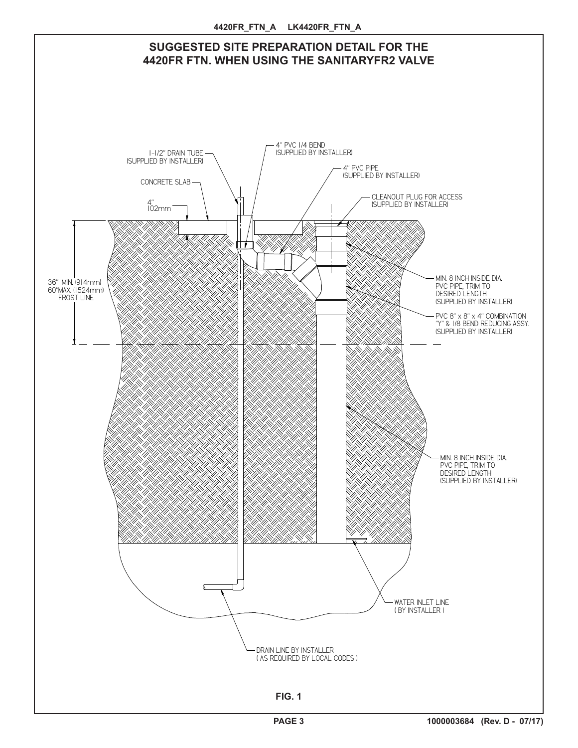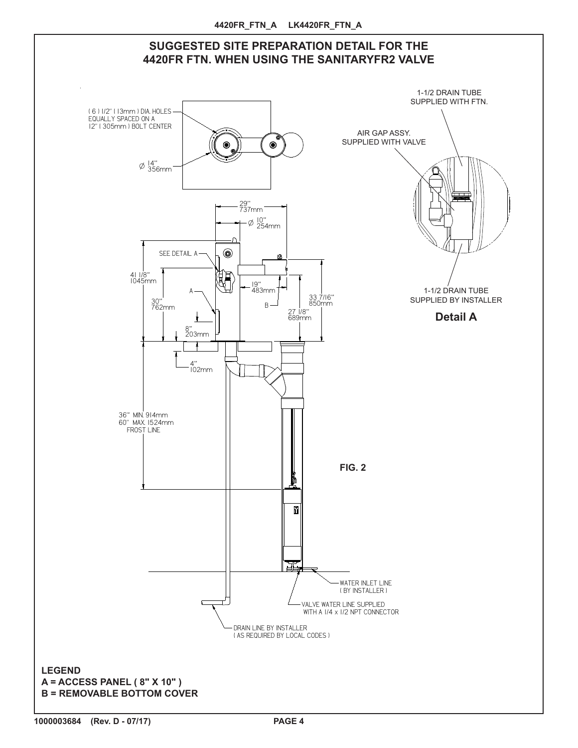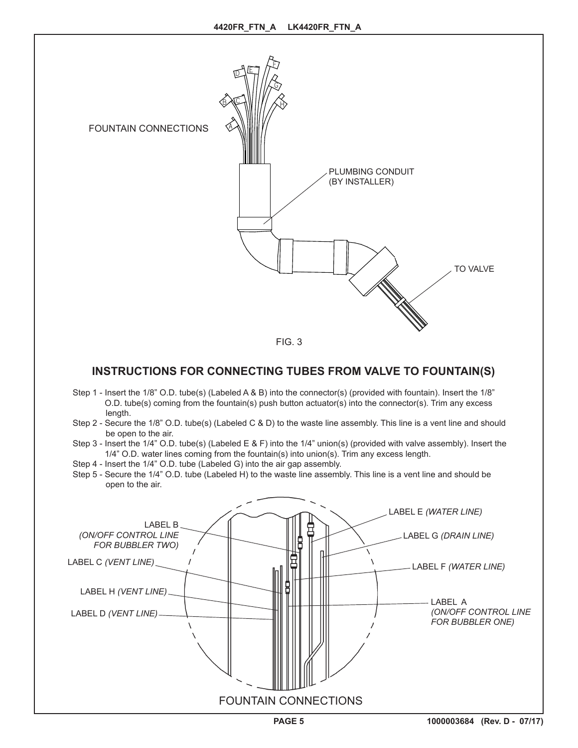

### **INSTRUCTIONS FOR CONNECTING TUBES FROM VALVE TO FOUNTAIN(S)**

- Step 1 Insert the 1/8" O.D. tube(s) (Labeled A & B) into the connector(s) (provided with fountain). Insert the 1/8" O.D. tube(s) coming from the fountain(s) push button actuator(s) into the connector(s). Trim any excess length.
- Step 2 Secure the 1/8" O.D. tube(s) (Labeled C & D) to the waste line assembly. This line is a vent line and should be open to the air.
- Step 3 Insert the 1/4" O.D. tube(s) (Labeled E & F) into the 1/4" union(s) (provided with valve assembly). Insert the 1/4" O.D. water lines coming from the fountain(s) into union(s). Trim any excess length.
- Step 4 Insert the 1/4" O.D. tube (Labeled G) into the air gap assembly.
- Step 5 Secure the 1/4" O.D. tube (Labeled H) to the waste line assembly. This line is a vent line and should be open to the air.

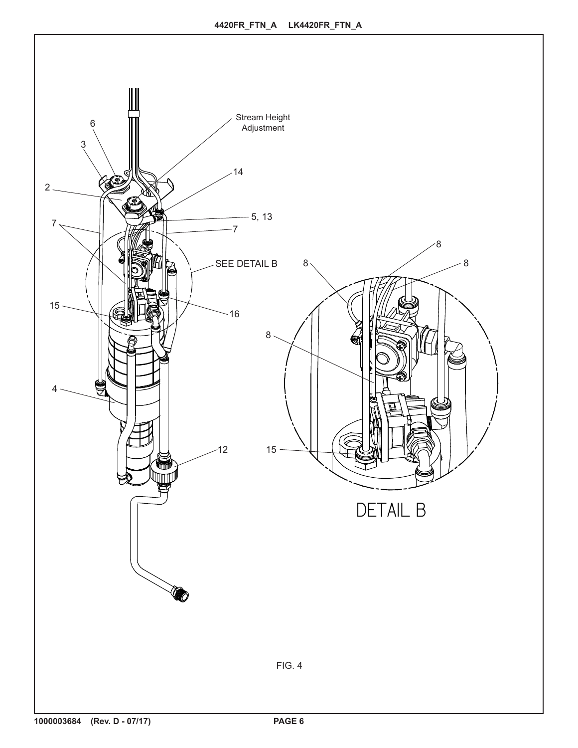![](_page_5_Figure_1.jpeg)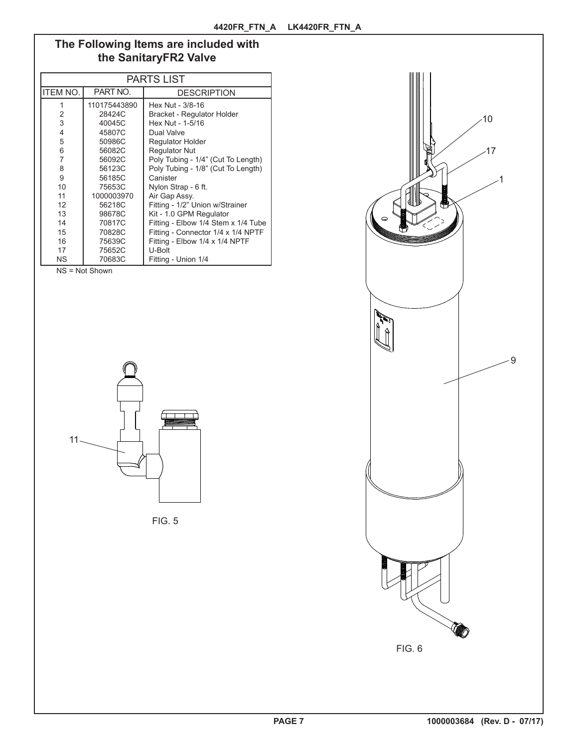## **The Following Items are included with the SanitaryFR2 Valve**

| <b>PARTS LIST</b>       |              |                                     |
|-------------------------|--------------|-------------------------------------|
| <b>ITEM NO.</b>         | PART NO.     | <b>DESCRIPTION</b>                  |
|                         | 110175443890 | Hex Nut - 3/8-16                    |
| 2                       | 28424C       | Bracket - Regulator Holder          |
| 3                       | 40045C       | Hex Nut - 1-5/16                    |
| $\overline{\mathbf{4}}$ | 45807C       | Dual Valve                          |
| 5                       | 50986C       | Regulator Holder                    |
| 6                       | 56082C       | <b>Requlator Nut</b>                |
| 7                       | 56092C       | Poly Tubing - 1/4" (Cut To Length)  |
| 8                       | 56123C       | Poly Tubing - 1/8" (Cut To Length)  |
| 9                       | 56185C       | Canister                            |
| 10                      | 75653C       | Nylon Strap - 6 ft.                 |
| 11                      | 1000003970   | Air Gap Assy.                       |
| 12                      | 56218C       | Fitting - 1/2" Union w/Strainer     |
| 13                      | 98678C       | Kit - 1.0 GPM Regulator             |
| 14                      | 70817C       | Fitting - Elbow 1/4 Stem x 1/4 Tube |
| 15                      | 70828C       | Fitting - Connector 1/4 x 1/4 NPTF  |
| 16                      | 75639C       | Fitting - Elbow 1/4 x 1/4 NPTF      |
| 17                      | 75652C       | U-Bolt                              |
| ΝS                      | 70683C       | Fitting - Union 1/4                 |

NS = Not Shown

![](_page_6_Figure_4.jpeg)

![](_page_6_Figure_5.jpeg)

![](_page_6_Figure_6.jpeg)